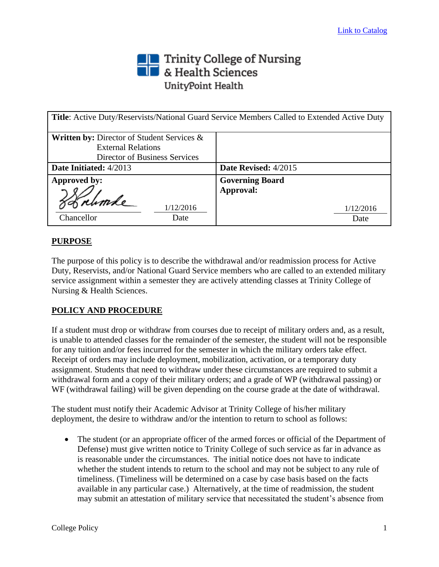# Trinity College of Nursing<br> **The State Sciences** UnityPoint Health

| Title: Active Duty/Reservists/National Guard Service Members Called to Extended Active Duty |                        |
|---------------------------------------------------------------------------------------------|------------------------|
| <b>Written by: Director of Student Services &amp;</b>                                       |                        |
| <b>External Relations</b>                                                                   |                        |
| Director of Business Services                                                               |                        |
| Date Initiated: 4/2013                                                                      | Date Revised: 4/2015   |
| Approved by:                                                                                | <b>Governing Board</b> |
|                                                                                             | Approval:              |
| 1/12/2016                                                                                   | 1/12/2016              |
| Chancellor<br>Date                                                                          | Date                   |

## **PURPOSE**

The purpose of this policy is to describe the withdrawal and/or readmission process for Active Duty, Reservists, and/or National Guard Service members who are called to an extended military service assignment within a semester they are actively attending classes at Trinity College of Nursing & Health Sciences.

### **POLICY AND PROCEDURE**

If a student must drop or withdraw from courses due to receipt of military orders and, as a result, is unable to attended classes for the remainder of the semester, the student will not be responsible for any tuition and/or fees incurred for the semester in which the military orders take effect. Receipt of orders may include deployment, mobilization, activation, or a temporary duty assignment. Students that need to withdraw under these circumstances are required to submit a withdrawal form and a copy of their military orders; and a grade of WP (withdrawal passing) or WF (withdrawal failing) will be given depending on the course grade at the date of withdrawal.

The student must notify their Academic Advisor at Trinity College of his/her military deployment, the desire to withdraw and/or the intention to return to school as follows:

• The student (or an appropriate officer of the armed forces or official of the Department of Defense) must give written notice to Trinity College of such service as far in advance as is reasonable under the circumstances. The initial notice does not have to indicate whether the student intends to return to the school and may not be subject to any rule of timeliness. (Timeliness will be determined on a case by case basis based on the facts available in any particular case.) Alternatively, at the time of readmission, the student may submit an attestation of military service that necessitated the student's absence from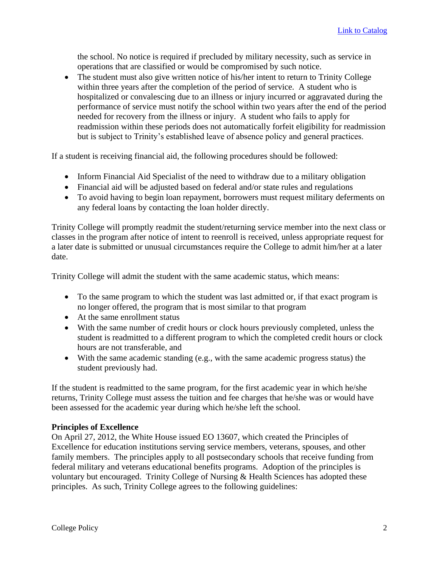the school. No notice is required if precluded by military necessity, such as service in operations that are classified or would be compromised by such notice.

• The student must also give written notice of his/her intent to return to Trinity College within three years after the completion of the period of service. A student who is hospitalized or convalescing due to an illness or injury incurred or aggravated during the performance of service must notify the school within two years after the end of the period needed for recovery from the illness or injury. A student who fails to apply for readmission within these periods does not automatically forfeit eligibility for readmission but is subject to Trinity's established leave of absence policy and general practices.

If a student is receiving financial aid, the following procedures should be followed:

- Inform Financial Aid Specialist of the need to withdraw due to a military obligation
- Financial aid will be adjusted based on federal and/or state rules and regulations
- To avoid having to begin loan repayment, borrowers must request military deferments on any federal loans by contacting the loan holder directly.

Trinity College will promptly readmit the student/returning service member into the next class or classes in the program after notice of intent to reenroll is received, unless appropriate request for a later date is submitted or unusual circumstances require the College to admit him/her at a later date.

Trinity College will admit the student with the same academic status, which means:

- To the same program to which the student was last admitted or, if that exact program is no longer offered, the program that is most similar to that program
- At the same enrollment status
- With the same number of credit hours or clock hours previously completed, unless the student is readmitted to a different program to which the completed credit hours or clock hours are not transferable, and
- With the same academic standing (e.g., with the same academic progress status) the student previously had.

If the student is readmitted to the same program, for the first academic year in which he/she returns, Trinity College must assess the tuition and fee charges that he/she was or would have been assessed for the academic year during which he/she left the school.

#### **Principles of Excellence**

On April 27, 2012, the White House issued EO 13607, which created the Principles of Excellence for education institutions serving service members, veterans, spouses, and other family members. The principles apply to all postsecondary schools that receive funding from federal military and veterans educational benefits programs. Adoption of the principles is voluntary but encouraged. Trinity College of Nursing & Health Sciences has adopted these principles. As such, Trinity College agrees to the following guidelines: